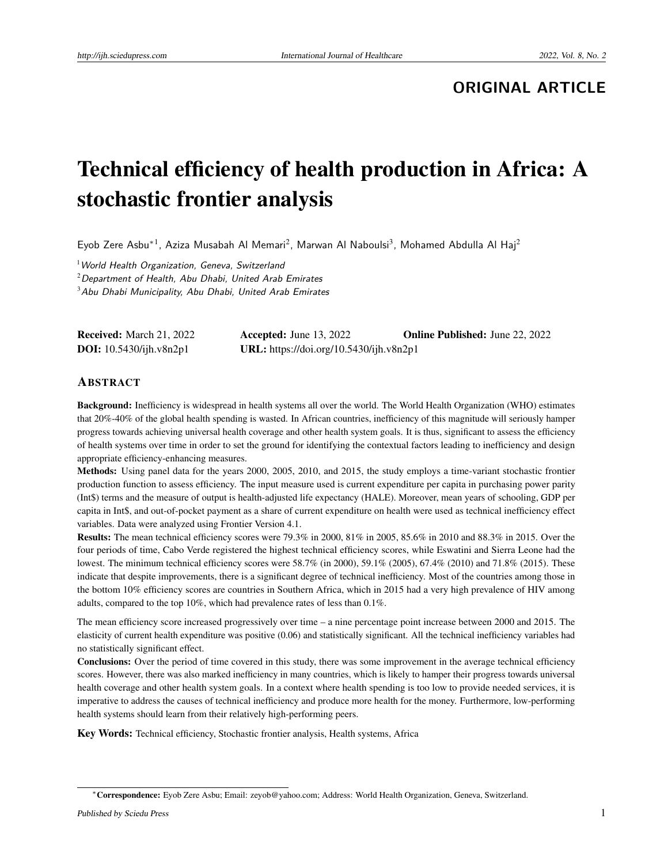# **ORIGINAL ARTICLE**

# Technical efficiency of health production in Africa: A stochastic frontier analysis

Eyob Zere Asbu<sup>\*1</sup>, Aziza Musabah Al Memari<sup>2</sup>, Marwan Al Naboulsi<sup>3</sup>, Mohamed Abdulla Al Haj<sup>2</sup>

 $1$ World Health Organization, Geneva, Switzerland  $2$ Department of Health, Abu Dhabi, United Arab Emirates <sup>3</sup>Abu Dhabi Municipality, Abu Dhabi, United Arab Emirates

| <b>Received:</b> March 21, 2022 | Accepted: June $13, 2022$               | <b>Online Published:</b> June 22, 2022 |
|---------------------------------|-----------------------------------------|----------------------------------------|
| <b>DOI:</b> 10.5430/ijh.v8n2p1  | URL: https://doi.org/10.5430/ijh.v8n2p1 |                                        |

#### ABSTRACT

Background: Inefficiency is widespread in health systems all over the world. The World Health Organization (WHO) estimates that 20%-40% of the global health spending is wasted. In African countries, inefficiency of this magnitude will seriously hamper progress towards achieving universal health coverage and other health system goals. It is thus, significant to assess the efficiency of health systems over time in order to set the ground for identifying the contextual factors leading to inefficiency and design appropriate efficiency-enhancing measures.

Methods: Using panel data for the years 2000, 2005, 2010, and 2015, the study employs a time-variant stochastic frontier production function to assess efficiency. The input measure used is current expenditure per capita in purchasing power parity (Int\$) terms and the measure of output is health-adjusted life expectancy (HALE). Moreover, mean years of schooling, GDP per capita in Int\$, and out-of-pocket payment as a share of current expenditure on health were used as technical inefficiency effect variables. Data were analyzed using Frontier Version 4.1.

Results: The mean technical efficiency scores were 79.3% in 2000, 81% in 2005, 85.6% in 2010 and 88.3% in 2015. Over the four periods of time, Cabo Verde registered the highest technical efficiency scores, while Eswatini and Sierra Leone had the lowest. The minimum technical efficiency scores were 58.7% (in 2000), 59.1% (2005), 67.4% (2010) and 71.8% (2015). These indicate that despite improvements, there is a significant degree of technical inefficiency. Most of the countries among those in the bottom 10% efficiency scores are countries in Southern Africa, which in 2015 had a very high prevalence of HIV among adults, compared to the top 10%, which had prevalence rates of less than 0.1%.

The mean efficiency score increased progressively over time – a nine percentage point increase between 2000 and 2015. The elasticity of current health expenditure was positive (0.06) and statistically significant. All the technical inefficiency variables had no statistically significant effect.

Conclusions: Over the period of time covered in this study, there was some improvement in the average technical efficiency scores. However, there was also marked inefficiency in many countries, which is likely to hamper their progress towards universal health coverage and other health system goals. In a context where health spending is too low to provide needed services, it is imperative to address the causes of technical inefficiency and produce more health for the money. Furthermore, low-performing health systems should learn from their relatively high-performing peers.

Key Words: Technical efficiency, Stochastic frontier analysis, Health systems, Africa

<sup>∗</sup>Correspondence: Eyob Zere Asbu; Email: zeyob@yahoo.com; Address: World Health Organization, Geneva, Switzerland.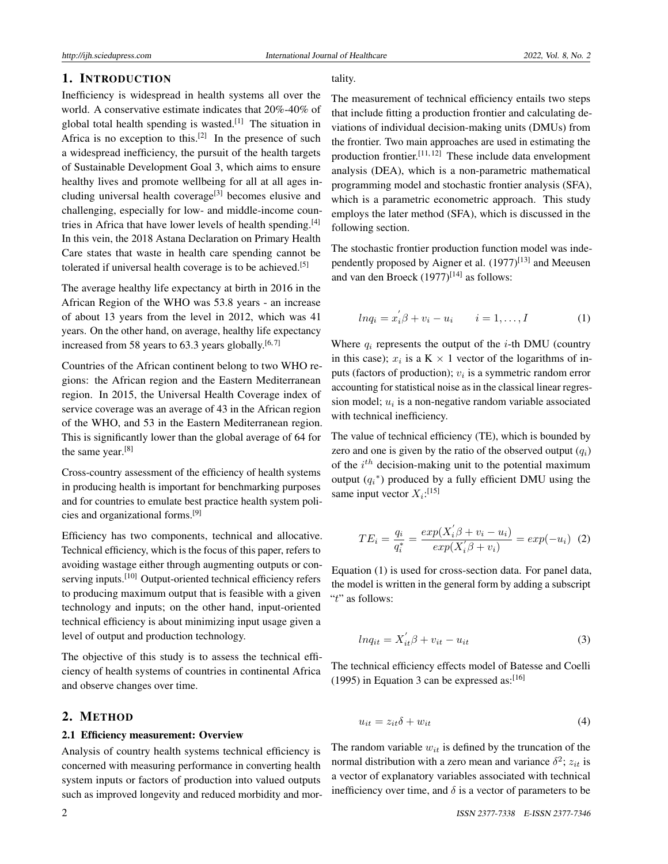# 1. INTRODUCTION

Inefficiency is widespread in health systems all over the world. A conservative estimate indicates that 20%-40% of global total health spending is wasted.<sup>[\[1\]](#page-6-0)</sup> The situation in Africa is no exception to this.<sup>[\[2\]](#page-6-1)</sup> In the presence of such a widespread inefficiency, the pursuit of the health targets of Sustainable Development Goal 3, which aims to ensure healthy lives and promote wellbeing for all at all ages in-cluding universal health coverage<sup>[\[3\]](#page-6-2)</sup> becomes elusive and challenging, especially for low- and middle-income countries in Africa that have lower levels of health spending.  $[4]$ In this vein, the 2018 Astana Declaration on Primary Health Care states that waste in health care spending cannot be tolerated if universal health coverage is to be achieved.<sup>[\[5\]](#page-6-4)</sup>

The average healthy life expectancy at birth in 2016 in the African Region of the WHO was 53.8 years - an increase of about 13 years from the level in 2012, which was 41 years. On the other hand, on average, healthy life expectancy increased from 58 years to 63.3 years globally.<sup>[\[6,](#page-6-5)[7\]](#page-6-6)</sup>

Countries of the African continent belong to two WHO regions: the African region and the Eastern Mediterranean region. In 2015, the Universal Health Coverage index of service coverage was an average of 43 in the African region of the WHO, and 53 in the Eastern Mediterranean region. This is significantly lower than the global average of 64 for the same year.<sup>[\[8\]](#page-6-7)</sup>

Cross-country assessment of the efficiency of health systems in producing health is important for benchmarking purposes and for countries to emulate best practice health system policies and organizational forms.[\[9\]](#page-6-8)

Efficiency has two components, technical and allocative. Technical efficiency, which is the focus of this paper, refers to avoiding wastage either through augmenting outputs or con-serving inputs.<sup>[\[10\]](#page-6-9)</sup> Output-oriented technical efficiency refers to producing maximum output that is feasible with a given technology and inputs; on the other hand, input-oriented technical efficiency is about minimizing input usage given a level of output and production technology.

The objective of this study is to assess the technical efficiency of health systems of countries in continental Africa and observe changes over time.

# 2. METHOD

#### 2.1 Efficiency measurement: Overview

Analysis of country health systems technical efficiency is concerned with measuring performance in converting health system inputs or factors of production into valued outputs such as improved longevity and reduced morbidity and morThe measurement of technical efficiency entails two steps that include fitting a production frontier and calculating deviations of individual decision-making units (DMUs) from the frontier. Two main approaches are used in estimating the production frontier.[\[11,](#page-6-10) [12\]](#page-6-11) These include data envelopment analysis (DEA), which is a non-parametric mathematical programming model and stochastic frontier analysis (SFA), which is a parametric econometric approach. This study employs the later method (SFA), which is discussed in the following section.

The stochastic frontier production function model was inde-pendently proposed by Aigner et al. (1977)<sup>[\[13\]](#page-6-12)</sup> and Meeusen and van den Broeck  $(1977)^{[14]}$  $(1977)^{[14]}$  $(1977)^{[14]}$  as follows:

$$
ln q_i = x_i' \beta + v_i - u_i \qquad i = 1, \dots, I \tag{1}
$$

Where  $q_i$  represents the output of the *i*-th DMU (country in this case);  $x_i$  is a K  $\times$  1 vector of the logarithms of inputs (factors of production); *v<sup>i</sup>* is a symmetric random error accounting for statistical noise as in the classical linear regression model;  $u_i$  is a non-negative random variable associated with technical inefficiency.

The value of technical efficiency (TE), which is bounded by zero and one is given by the ratio of the observed output  $(q_i)$ of the *i th* decision-making unit to the potential maximum output  $(q_i^*)$  produced by a fully efficient DMU using the same input vector  $X_i$ :<sup>[\[15\]](#page-6-14)</sup>

$$
TE_{i} = \frac{q_{i}}{q_{i}^{*}} = \frac{exp(X_{i}'\beta + v_{i} - u_{i})}{exp(X_{i}'\beta + v_{i})} = exp(-u_{i}) \tag{2}
$$

Equation (1) is used for cross-section data. For panel data, the model is written in the general form by adding a subscript "*t*" as follows:

$$
lnq_{it} = X_{it}'\beta + v_{it} - u_{it}
$$
 (3)

The technical efficiency effects model of Batesse and Coelli (1995) in Equation 3 can be expressed as:  $[16]$ 

$$
u_{it} = z_{it}\delta + w_{it} \tag{4}
$$

The random variable  $w_{it}$  is defined by the truncation of the normal distribution with a zero mean and variance  $\delta^2$ ;  $z_{it}$  is a vector of explanatory variables associated with technical inefficiency over time, and  $\delta$  is a vector of parameters to be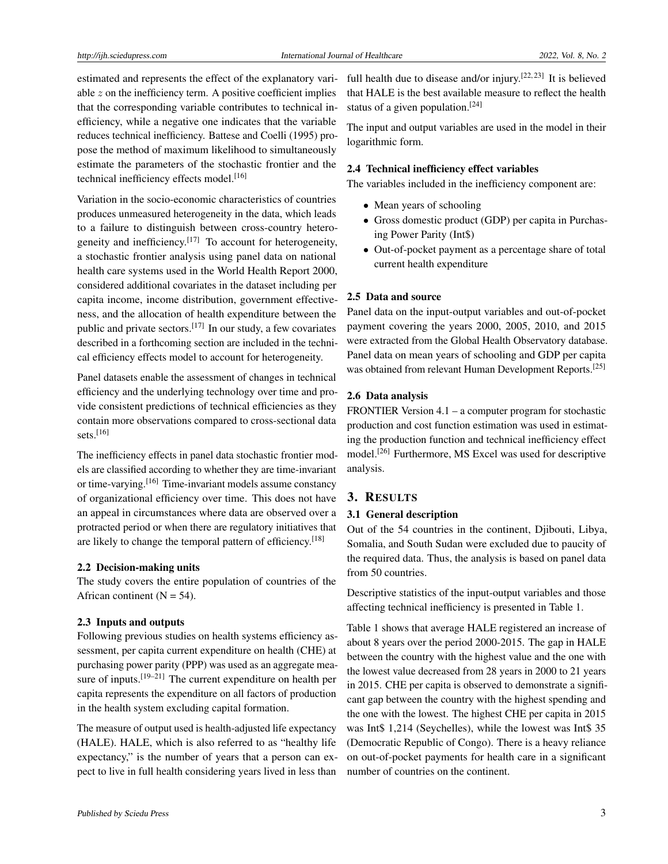estimated and represents the effect of the explanatory variable *z* on the inefficiency term. A positive coefficient implies that the corresponding variable contributes to technical inefficiency, while a negative one indicates that the variable reduces technical inefficiency. Battese and Coelli (1995) propose the method of maximum likelihood to simultaneously estimate the parameters of the stochastic frontier and the technical inefficiency effects model.<sup>[\[16\]](#page-6-15)</sup>

Variation in the socio-economic characteristics of countries produces unmeasured heterogeneity in the data, which leads to a failure to distinguish between cross-country hetero-geneity and inefficiency.<sup>[\[17\]](#page-6-16)</sup> To account for heterogeneity, a stochastic frontier analysis using panel data on national health care systems used in the World Health Report 2000, considered additional covariates in the dataset including per capita income, income distribution, government effectiveness, and the allocation of health expenditure between the public and private sectors.<sup>[\[17\]](#page-6-16)</sup> In our study, a few covariates described in a forthcoming section are included in the technical efficiency effects model to account for heterogeneity.

Panel datasets enable the assessment of changes in technical efficiency and the underlying technology over time and provide consistent predictions of technical efficiencies as they contain more observations compared to cross-sectional data sets. $[16]$ 

The inefficiency effects in panel data stochastic frontier models are classified according to whether they are time-invariant or time-varying.[\[16\]](#page-6-15) Time-invariant models assume constancy of organizational efficiency over time. This does not have an appeal in circumstances where data are observed over a protracted period or when there are regulatory initiatives that are likely to change the temporal pattern of efficiency.[\[18\]](#page-6-17)

#### 2.2 Decision-making units

The study covers the entire population of countries of the African continent  $(N = 54)$ .

#### 2.3 Inputs and outputs

Following previous studies on health systems efficiency assessment, per capita current expenditure on health (CHE) at purchasing power parity (PPP) was used as an aggregate mea-sure of inputs.<sup>[\[19–](#page-6-18)[21\]](#page-6-19)</sup> The current expenditure on health per capita represents the expenditure on all factors of production in the health system excluding capital formation.

The measure of output used is health-adjusted life expectancy (HALE). HALE, which is also referred to as "healthy life expectancy," is the number of years that a person can expect to live in full health considering years lived in less than

full health due to disease and/or injury.<sup>[\[22,](#page-6-20)[23\]](#page-6-21)</sup> It is believed that HALE is the best available measure to reflect the health status of a given population.[\[24\]](#page-6-22)

The input and output variables are used in the model in their logarithmic form.

## 2.4 Technical inefficiency effect variables

The variables included in the inefficiency component are:

- Mean years of schooling
- Gross domestic product (GDP) per capita in Purchasing Power Parity (Int\$)
- Out-of-pocket payment as a percentage share of total current health expenditure

## 2.5 Data and source

Panel data on the input-output variables and out-of-pocket payment covering the years 2000, 2005, 2010, and 2015 were extracted from the Global Health Observatory database. Panel data on mean years of schooling and GDP per capita was obtained from relevant Human Development Reports.<sup>[\[25\]](#page-6-23)</sup>

## 2.6 Data analysis

FRONTIER Version 4.1 – a computer program for stochastic production and cost function estimation was used in estimating the production function and technical inefficiency effect model.[\[26\]](#page-7-0) Furthermore, MS Excel was used for descriptive analysis.

# 3. RESULTS

#### 3.1 General description

Out of the 54 countries in the continent, Djibouti, Libya, Somalia, and South Sudan were excluded due to paucity of the required data. Thus, the analysis is based on panel data from 50 countries.

Descriptive statistics of the input-output variables and those affecting technical inefficiency is presented in Table 1.

Table 1 shows that average HALE registered an increase of about 8 years over the period 2000-2015. The gap in HALE between the country with the highest value and the one with the lowest value decreased from 28 years in 2000 to 21 years in 2015. CHE per capita is observed to demonstrate a significant gap between the country with the highest spending and the one with the lowest. The highest CHE per capita in 2015 was Int\$ 1,214 (Seychelles), while the lowest was Int\$ 35 (Democratic Republic of Congo). There is a heavy reliance on out-of-pocket payments for health care in a significant number of countries on the continent.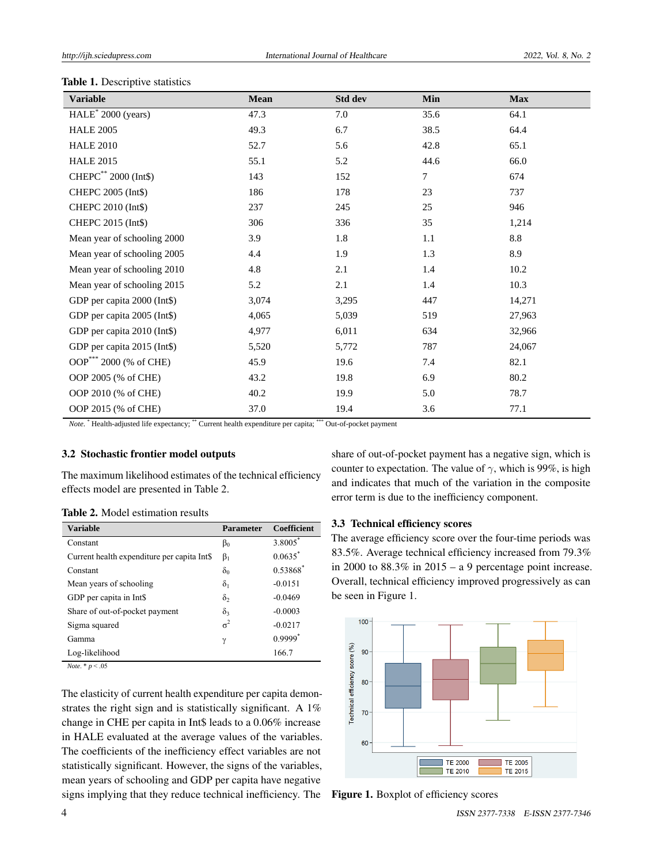| <b>Variable</b>                    | Mean  | Std dev | Min  | <b>Max</b> |
|------------------------------------|-------|---------|------|------------|
| $HALE^*$ 2000 (years)              | 47.3  | 7.0     | 35.6 | 64.1       |
| <b>HALE 2005</b>                   | 49.3  | 6.7     | 38.5 | 64.4       |
| <b>HALE 2010</b>                   | 52.7  | 5.6     | 42.8 | 65.1       |
| <b>HALE 2015</b>                   | 55.1  | 5.2     | 44.6 | 66.0       |
| CHEPC** 2000 (Int\$)               | 143   | 152     | 7    | 674        |
| CHEPC 2005 (Int\$)                 | 186   | 178     | 23   | 737        |
| CHEPC 2010 (Int\$)                 | 237   | 245     | 25   | 946        |
| CHEPC 2015 (Int\$)                 | 306   | 336     | 35   | 1,214      |
| Mean year of schooling 2000        | 3.9   | 1.8     | 1.1  | 8.8        |
| Mean year of schooling 2005        | 4.4   | 1.9     | 1.3  | 8.9        |
| Mean year of schooling 2010        | 4.8   | 2.1     | 1.4  | 10.2       |
| Mean year of schooling 2015        | 5.2   | 2.1     | 1.4  | 10.3       |
| GDP per capita 2000 (Int\$)        | 3,074 | 3,295   | 447  | 14,271     |
| GDP per capita 2005 (Int\$)        | 4,065 | 5,039   | 519  | 27,963     |
| GDP per capita 2010 (Int\$)        | 4,977 | 6,011   | 634  | 32,966     |
| GDP per capita 2015 (Int\$)        | 5,520 | 5,772   | 787  | 24,067     |
| OOP <sup>***</sup> 2000 (% of CHE) | 45.9  | 19.6    | 7.4  | 82.1       |
| OOP 2005 (% of CHE)                | 43.2  | 19.8    | 6.9  | 80.2       |
| OOP 2010 (% of CHE)                | 40.2  | 19.9    | 5.0  | 78.7       |
| OOP 2015 (% of CHE)                | 37.0  | 19.4    | 3.6  | 77.1       |

#### Table 1. Descriptive statistics

*Note.* \* Health-adjusted life expectancy; \*\* Current health expenditure per capita; \*\*\* Out-of-pocket payment

#### 3.2 Stochastic frontier model outputs

The maximum likelihood estimates of the technical efficiency effects model are presented in Table 2.

| <b>Variable</b>                             | <b>Parameter</b> | <b>Coefficient</b>    |
|---------------------------------------------|------------------|-----------------------|
| Constant                                    | $\beta_0$        | 3.8005                |
| Current health expenditure per capita Int\$ | $\beta_1$        | $0.0635$ <sup>*</sup> |
| Constant                                    | $\delta_0$       | 0.53868*              |
| Mean years of schooling                     | $\delta_1$       | $-0.0151$             |
| GDP per capita in Int\$                     | $\delta_2$       | $-0.0469$             |
| Share of out-of-pocket payment              | $\delta_3$       | $-0.0003$             |
| Sigma squared                               | $\sigma^2$       | $-0.0217$             |
| Gamma                                       | γ                | $0.9999$ <sup>*</sup> |
| Log-likelihood                              |                  | 166.7                 |

*Note*. \* *p* < .05

The elasticity of current health expenditure per capita demonstrates the right sign and is statistically significant. A 1% change in CHE per capita in Int\$ leads to a 0.06% increase in HALE evaluated at the average values of the variables. The coefficients of the inefficiency effect variables are not statistically significant. However, the signs of the variables, mean years of schooling and GDP per capita have negative signs implying that they reduce technical inefficiency. The share of out-of-pocket payment has a negative sign, which is counter to expectation. The value of  $\gamma$ , which is 99%, is high and indicates that much of the variation in the composite error term is due to the inefficiency component.

#### 3.3 Technical efficiency scores

The average efficiency score over the four-time periods was 83.5%. Average technical efficiency increased from 79.3% in 2000 to  $88.3\%$  in  $2015 - a$  9 percentage point increase. Overall, technical efficiency improved progressively as can be seen in Figure 1.



Figure 1. Boxplot of efficiency scores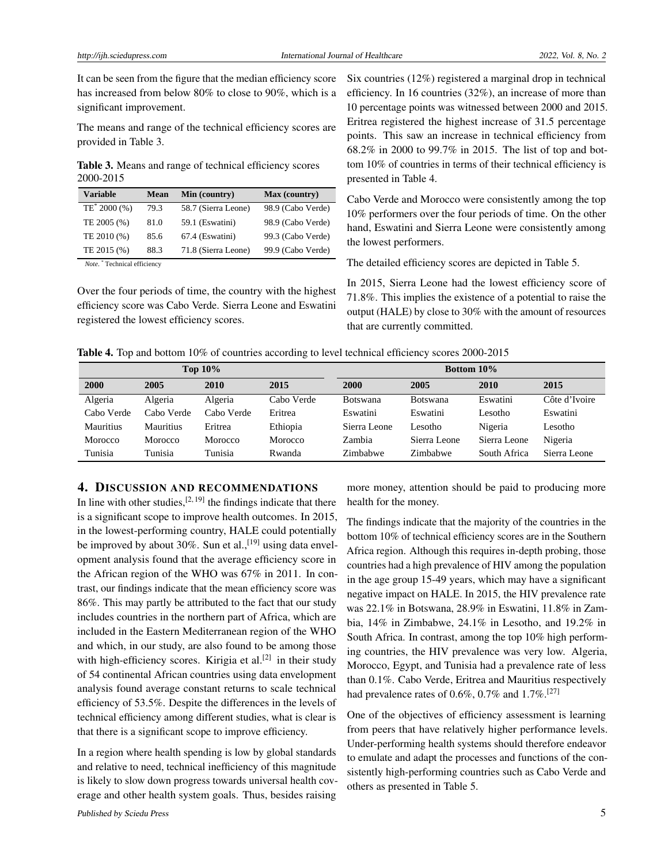It can be seen from the figure that the median efficiency score has increased from below 80% to close to 90%, which is a significant improvement.

The means and range of the technical efficiency scores are provided in Table 3.

Table 3. Means and range of technical efficiency scores 2000-2015

| <b>Variable</b>          | <b>Mean</b> | Min (country)       | Max (country)     |
|--------------------------|-------------|---------------------|-------------------|
| TE <sup>*</sup> 2000 (%) | 79.3        | 58.7 (Sierra Leone) | 98.9 (Cabo Verde) |
| TE 2005 (%)              | 81.0        | 59.1 (Eswatini)     | 98.9 (Cabo Verde) |
| TE 2010 (%)              | 85.6        | 67.4 (Eswatini)     | 99.3 (Cabo Verde) |
| TE 2015 (%)              | 88.3        | 71.8 (Sierra Leone) | 99.9 (Cabo Verde) |
|                          |             |                     |                   |

 *Note*. \* Technical efficiency

Over the four periods of time, the country with the highest efficiency score was Cabo Verde. Sierra Leone and Eswatini registered the lowest efficiency scores.

Six countries (12%) registered a marginal drop in technical efficiency. In 16 countries (32%), an increase of more than 10 percentage points was witnessed between 2000 and 2015. Eritrea registered the highest increase of 31.5 percentage points. This saw an increase in technical efficiency from 68.2% in 2000 to 99.7% in 2015. The list of top and bottom 10% of countries in terms of their technical efficiency is presented in Table 4.

Cabo Verde and Morocco were consistently among the top 10% performers over the four periods of time. On the other hand, Eswatini and Sierra Leone were consistently among the lowest performers.

The detailed efficiency scores are depicted in Table 5.

In 2015, Sierra Leone had the lowest efficiency score of 71.8%. This implies the existence of a potential to raise the output (HALE) by close to 30% with the amount of resources that are currently committed.

Table 4. Top and bottom 10% of countries according to level technical efficiency scores 2000-2015

| Top $10\%$ |                |            |            | <b>Bottom 10%</b> |                 |              |               |
|------------|----------------|------------|------------|-------------------|-----------------|--------------|---------------|
| 2000       | 2005           | 2010       | 2015       | 2000              | 2005            | 2010         | 2015          |
| Algeria    | Algeria        | Algeria    | Cabo Verde | <b>Botswana</b>   | <b>Botswana</b> | Eswatini     | Côte d'Ivoire |
| Cabo Verde | Cabo Verde     | Cabo Verde | Eritrea    | Eswatini          | Eswatini        | Lesotho      | Eswatini      |
| Mauritius  | Mauritius      | Eritrea    | Ethiopia   | Sierra Leone      | Lesotho         | Nigeria      | Lesotho       |
| Morocco    | <b>Morocco</b> | Morocco    | Morocco    | Zambia            | Sierra Leone    | Sierra Leone | Nigeria       |
| Tunisia    | Tunisia        | Tunisia    | Rwanda     | Zimbabwe          | Zimbabwe        | South Africa | Sierra Leone  |

# 4. DISCUSSION AND RECOMMENDATIONS

In line with other studies,  $[2, 19]$  $[2, 19]$  $[2, 19]$  the findings indicate that there is a significant scope to improve health outcomes. In 2015, in the lowest-performing country, HALE could potentially be improved by about 30%. Sun et al.,  $[19]$  using data envelopment analysis found that the average efficiency score in the African region of the WHO was 67% in 2011. In contrast, our findings indicate that the mean efficiency score was 86%. This may partly be attributed to the fact that our study includes countries in the northern part of Africa, which are included in the Eastern Mediterranean region of the WHO and which, in our study, are also found to be among those with high-efficiency scores. Kirigia et al.<sup>[\[2\]](#page-6-1)</sup> in their study of 54 continental African countries using data envelopment analysis found average constant returns to scale technical efficiency of 53.5%. Despite the differences in the levels of technical efficiency among different studies, what is clear is that there is a significant scope to improve efficiency.

In a region where health spending is low by global standards and relative to need, technical inefficiency of this magnitude is likely to slow down progress towards universal health coverage and other health system goals. Thus, besides raising

more money, attention should be paid to producing more health for the money.

The findings indicate that the majority of the countries in the bottom 10% of technical efficiency scores are in the Southern Africa region. Although this requires in-depth probing, those countries had a high prevalence of HIV among the population in the age group 15-49 years, which may have a significant negative impact on HALE. In 2015, the HIV prevalence rate was 22.1% in Botswana, 28.9% in Eswatini, 11.8% in Zambia, 14% in Zimbabwe, 24.1% in Lesotho, and 19.2% in South Africa. In contrast, among the top 10% high performing countries, the HIV prevalence was very low. Algeria, Morocco, Egypt, and Tunisia had a prevalence rate of less than 0.1%. Cabo Verde, Eritrea and Mauritius respectively had prevalence rates of 0.6%, 0.7% and  $1.7\%$ .<sup>[\[27\]](#page-7-1)</sup>

One of the objectives of efficiency assessment is learning from peers that have relatively higher performance levels. Under-performing health systems should therefore endeavor to emulate and adapt the processes and functions of the consistently high-performing countries such as Cabo Verde and others as presented in Table 5.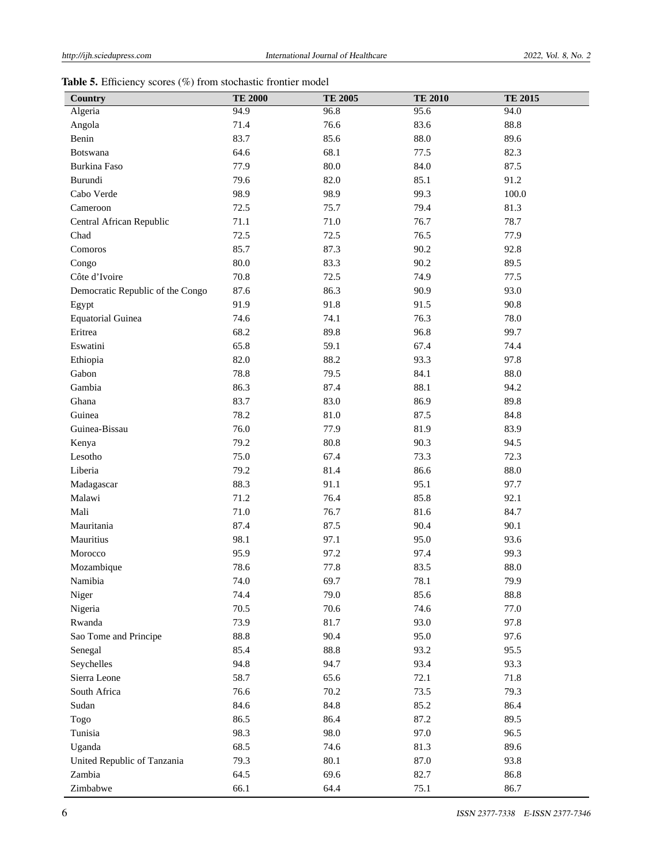|  |  | <b>Table 5.</b> Efficiency scores $(\%)$ from stochastic frontier model |  |  |  |  |  |  |
|--|--|-------------------------------------------------------------------------|--|--|--|--|--|--|
|--|--|-------------------------------------------------------------------------|--|--|--|--|--|--|

| Country                          | <b>TE 2000</b> | <b>TE 2005</b> | <b>TE 2010</b> | <b>TE 2015</b> |
|----------------------------------|----------------|----------------|----------------|----------------|
| Algeria                          | 94.9           | 96.8           | 95.6           | 94.0           |
| Angola                           | 71.4           | 76.6           | 83.6           | 88.8           |
| Benin                            | 83.7           | 85.6           | 88.0           | 89.6           |
| Botswana                         | 64.6           | 68.1           | 77.5           | 82.3           |
| Burkina Faso                     | 77.9           | 80.0           | 84.0           | 87.5           |
| Burundi                          | 79.6           | 82.0           | 85.1           | 91.2           |
| Cabo Verde                       | 98.9           | 98.9           | 99.3           | 100.0          |
| Cameroon                         | 72.5           | 75.7           | 79.4           | 81.3           |
| Central African Republic         | 71.1           | 71.0           | 76.7           | 78.7           |
| Chad                             | 72.5           | 72.5           | 76.5           | 77.9           |
| Comoros                          | 85.7           | 87.3           | 90.2           | 92.8           |
| Congo                            | 80.0           | 83.3           | 90.2           | 89.5           |
| Côte d'Ivoire                    | 70.8           | 72.5           | 74.9           | 77.5           |
| Democratic Republic of the Congo | 87.6           | 86.3           | 90.9           | 93.0           |
| Egypt                            | 91.9           | 91.8           | 91.5           | 90.8           |
| <b>Equatorial Guinea</b>         | 74.6           | 74.1           | 76.3           | 78.0           |
| Eritrea                          | 68.2           | 89.8           | 96.8           | 99.7           |
| Eswatini                         | 65.8           | 59.1           | 67.4           | 74.4           |
| Ethiopia                         | 82.0           | 88.2           | 93.3           | 97.8           |
| Gabon                            | 78.8           | 79.5           | 84.1           | 88.0           |
| Gambia                           | 86.3           | 87.4           | 88.1           | 94.2           |
| Ghana                            | 83.7           | 83.0           | 86.9           | 89.8           |
| Guinea                           | 78.2           | 81.0           | 87.5           | 84.8           |
| Guinea-Bissau                    | 76.0           | 77.9           | 81.9           | 83.9           |
| Kenya                            | 79.2           | 80.8           | 90.3           | 94.5           |
| Lesotho                          | 75.0           | 67.4           | 73.3           | 72.3           |
| Liberia                          | 79.2           | 81.4           | 86.6           | 88.0           |
| Madagascar                       | 88.3           | 91.1           | 95.1           | 97.7           |
| Malawi                           | 71.2           | 76.4           | 85.8           | 92.1           |
| Mali                             | 71.0           | 76.7           | 81.6           | 84.7           |
| Mauritania                       | 87.4           | 87.5           | 90.4           | 90.1           |
| Mauritius                        | 98.1           | 97.1           | 95.0           | 93.6           |
| Morocco                          | 95.9           | 97.2           | 97.4           | 99.3           |
| Mozambique                       | 78.6           | 77.8           | 83.5           | 88.0           |
| Namibia                          | 74.0           | 69.7           | 78.1           | 79.9           |
| Niger                            | 74.4           | 79.0           | 85.6           | 88.8           |
| Nigeria                          | 70.5           | 70.6           | 74.6           | 77.0           |
| Rwanda                           | 73.9           | 81.7           | 93.0           | 97.8           |
| Sao Tome and Principe            | 88.8           | 90.4           | 95.0           | 97.6           |
| Senegal                          | 85.4           | 88.8           | 93.2           | 95.5           |
| Seychelles                       | 94.8           | 94.7           | 93.4           | 93.3           |
| Sierra Leone                     | 58.7           | 65.6           | 72.1           | 71.8           |
| South Africa                     | 76.6           | 70.2           | 73.5           | 79.3           |
| Sudan                            | 84.6           | 84.8           | 85.2           | 86.4           |
| Togo                             | 86.5           | 86.4           | 87.2           | 89.5           |
| Tunisia                          | 98.3           | 98.0           | 97.0           | 96.5           |
| Uganda                           | 68.5           | 74.6           | 81.3           | 89.6           |
| United Republic of Tanzania      | 79.3           | 80.1           | 87.0           | 93.8           |
| Zambia                           | 64.5           | 69.6           | 82.7           | 86.8           |
| Zimbabwe                         | 66.1           | 64.4           | 75.1           | 86.7           |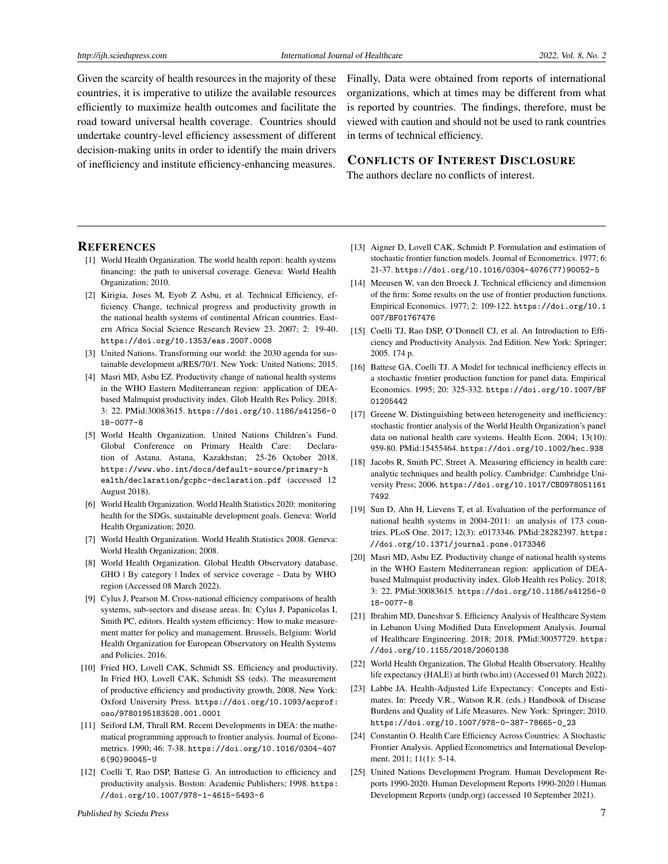Given the scarcity of health resources in the majority of these countries, it is imperative to utilize the available resources efficiently to maximize health outcomes and facilitate the road toward universal health coverage. Countries should undertake country-level efficiency assessment of different decision-making units in order to identify the main drivers of inefficiency and institute efficiency-enhancing measures.

Finally, Data were obtained from reports of international organizations, which at times may be different from what is reported by countries. The findings, therefore, must be viewed with caution and should not be used to rank countries in terms of technical efficiency.

#### CONFLICTS OF INTEREST DISCLOSURE

The authors declare no conflicts of interest.

#### **REFERENCES**

- <span id="page-6-0"></span>[1] World Health Organization. The world health report: health systems financing: the path to universal coverage. Geneva: World Health Organization; 2010.
- <span id="page-6-1"></span>[2] Kirigia, Joses M, Eyob Z Asbu, et al. Technical Efficiency, efficiency Change, technical progress and productivity growth in the national health systems of continental African countries. Eastern Africa Social Science Research Review 23. 2007; 2: 19-40. <https://doi.org/10.1353/eas.2007.0008>
- <span id="page-6-2"></span>[3] United Nations. Transforming our world: the 2030 agenda for sustainable development a/RES/70/1. New York: United Nations; 2015.
- <span id="page-6-3"></span>[4] Masri MD, Asbu EZ. Productivity change of national health systems in the WHO Eastern Mediterranean region: application of DEAbased Malmquist productivity index. Glob Health Res Policy. 2018; 3: 22. PMid:30083615. [https://doi.org/10.1186/s41256-0](https://doi.org/10.1186/s41256-018-0077-8) [18-0077-8](https://doi.org/10.1186/s41256-018-0077-8)
- <span id="page-6-4"></span>[5] World Health Organization, United Nations Children's Fund. Global Conference on Primary Health Care: Declaration of Astana. Astana, Kazakhstan; 25-26 October 2018. [https://www.who.int/docs/default-source/primary-h](https://www.who.int/docs/default-source/primary-health/declaration/gcphc-declaration.pdf) [ealth/declaration/gcphc-declaration.pdf](https://www.who.int/docs/default-source/primary-health/declaration/gcphc-declaration.pdf) (accessed 12 August 2018).
- <span id="page-6-5"></span>[6] World Health Organization. World Health Statistics 2020: monitoring health for the SDGs, sustainable development goals. Geneva: World Health Organization; 2020.
- <span id="page-6-6"></span>[7] World Health Organization. World Health Statistics 2008. Geneva: World Health Organization; 2008.
- <span id="page-6-7"></span>[8] World Health Organization. Global Health Observatory database. GHO | By category | Index of service coverage - Data by WHO region (Accessed 08 March 2022).
- <span id="page-6-8"></span>[9] Cylus J, Pearson M. Cross-national efficiency comparisons of health systems, sub-sectors and disease areas. In: Cylus J, Papanicolas I, Smith PC, editors. Health system efficiency: How to make measurement matter for policy and management. Brussels, Belgium: World Health Organization for European Observatory on Health Systems and Policies. 2016.
- <span id="page-6-9"></span>[10] Fried HO, Lovell CAK, Schmidt SS. Efficiency and productivity. In Fried HO, Lovell CAK, Schmidt SS (eds). The measurement of productive efficiency and productivity growth, 2008. New York: Oxford University Press. [https://doi.org/10.1093/acprof:](https://doi.org/10.1093/acprof:oso/9780195183528.001.0001) [oso/9780195183528.001.0001](https://doi.org/10.1093/acprof:oso/9780195183528.001.0001)
- <span id="page-6-10"></span>[11] Seiford LM, Thrall RM. Recent Developments in DEA: the mathematical programming approach to frontier analysis. Journal of Econometrics. 1990; 46: 7-38. [https://doi.org/10.1016/0304-407](https://doi.org/10.1016/0304-4076(90)90045-U) [6\(90\)90045-U](https://doi.org/10.1016/0304-4076(90)90045-U)
- <span id="page-6-11"></span>[12] Coelli T, Rao DSP, Battese G. An introduction to efficiency and productivity analysis. Boston: Academic Publishers; 1998. [https:](https://doi.org/10.1007/978-1-4615-5493-6) [//doi.org/10.1007/978-1-4615-5493-6](https://doi.org/10.1007/978-1-4615-5493-6)
- <span id="page-6-12"></span>[13] Aigner D, Lovell CAK, Schmidt P. Formulation and estimation of stochastic frontier function models. Journal of Econometrics. 1977; 6: 21-37. [https://doi.org/10.1016/0304-4076\(77\)90052-5](https://doi.org/10.1016/0304-4076(77)90052-5)
- <span id="page-6-13"></span>[14] Meeusen W, van den Broeck J. Technical efficiency and dimension of the firm: Some results on the use of frontier production functions. Empirical Economics. 1977; 2: 109-122. [https://doi.org/10.1](https://doi.org/10.1007/BF01767476) [007/BF01767476](https://doi.org/10.1007/BF01767476)
- <span id="page-6-14"></span>[15] Coelli TJ, Rao DSP, O'Donnell CJ, et al. An Introduction to Efficiency and Productivity Analysis. 2nd Edition. New York: Springer; 2005. 174 p.
- <span id="page-6-15"></span>[16] Battese GA, Coelli TJ. A Model for technical inefficiency effects in a stochastic frontier production function for panel data. Empirical Economics. 1995; 20: 325-332. [https://doi.org/10.1007/BF](https://doi.org/10.1007/BF01205442) [01205442](https://doi.org/10.1007/BF01205442)
- <span id="page-6-16"></span>[17] Greene W. Distinguishing between heterogeneity and inefficiency: stochastic frontier analysis of the World Health Organization's panel data on national health care systems. Health Econ. 2004; 13(10): 959-80. PMid:15455464. <https://doi.org/10.1002/hec.938>
- <span id="page-6-17"></span>[18] Jacobs R, Smith PC, Street A. Measuring efficiency in health care: analytic techniques and health policy. Cambridge: Cambridge University Press; 2006. [https://doi.org/10.1017/CBO978051161](https://doi.org/10.1017/CBO9780511617492) [7492](https://doi.org/10.1017/CBO9780511617492)
- <span id="page-6-18"></span>[19] Sun D, Ahn H, Lievens T, et al. Evaluation of the performance of national health systems in 2004-2011: an analysis of 173 countries. PLoS One. 2017; 12(3): e0173346. PMid:28282397. [https:](https://doi.org/10.1371/journal.pone.0173346) [//doi.org/10.1371/journal.pone.0173346](https://doi.org/10.1371/journal.pone.0173346)
- [20] Masri MD, Asbu EZ. Productivity change of national health systems in the WHO Eastern Mediterranean region: application of DEAbased Malmquist productivity index. Glob Health res Policy. 2018; 3: 22. PMid:30083615. [https://doi.org/10.1186/s41256-0](https://doi.org/10.1186/s41256-018-0077-8) [18-0077-8](https://doi.org/10.1186/s41256-018-0077-8)
- <span id="page-6-19"></span>[21] Ibrahim MD, Daneshvar S. Efficiency Analysis of Healthcare System in Lebanon Using Modified Data Envelopment Analysis. Journal of Healthcare Engineering. 2018; 2018. PMid:30057729. [https:](https://doi.org/10.1155/2018/2060138) [//doi.org/10.1155/2018/2060138](https://doi.org/10.1155/2018/2060138)
- <span id="page-6-20"></span>[22] World Health Organization, The Global Health Observatory. Healthy life expectancy (HALE) at birth (who.int) (Accessed 01 March 2022).
- <span id="page-6-21"></span>[23] Labbe JA. Health-Adjusted Life Expectancy: Concepts and Estimates. In: Preedy V.R., Watson R.R. (eds.) Handbook of Disease Burdens and Quality of Life Measures. New York: Springer; 2010. [https://doi.org/10.1007/978-0-387-78665-0\\_23](https://doi.org/10.1007/978-0-387-78665-0_23)
- <span id="page-6-22"></span>[24] Constantin O. Health Care Efficiency Across Countries: A Stochastic Frontier Analysis. Applied Econometrics and International Development. 2011; 11(1): 5-14.
- <span id="page-6-23"></span>[25] United Nations Development Program. Human Development Reports 1990-2020. Human Development Reports 1990-2020 | Human Development Reports (undp.org) (accessed 10 September 2021).